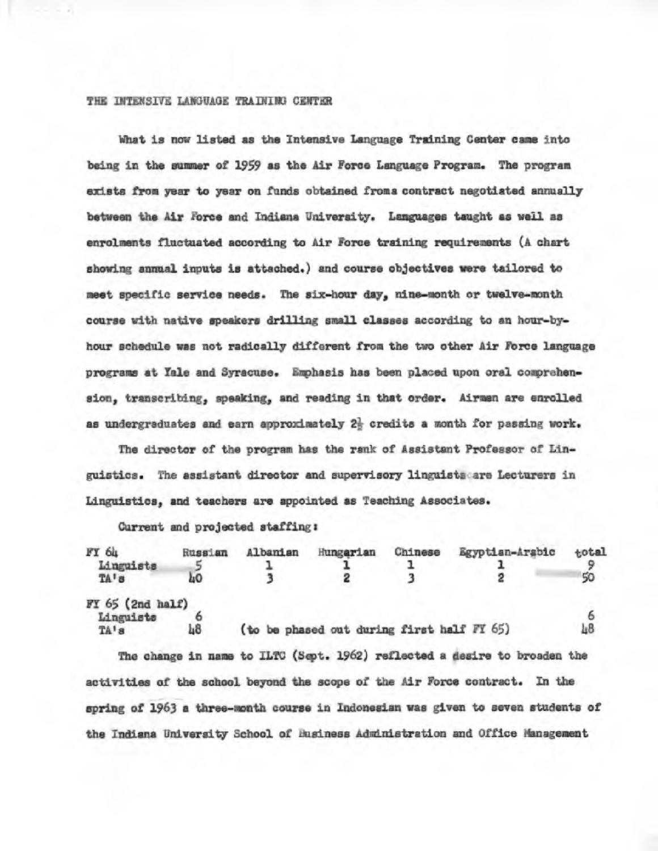## THE INTENSIVE LANGUAGE TRAINING CENTER

**What is now listed as the Intensive Language Training Center came into being in the summer of 1959 as the Air Force Language Program. The program exists from year to year on funds obtained froma contract negotiated annually**  between the Air Force and Indiana University. Languages taught as well as **enrolments fluctuated according to Air Force training requirements (A chart showing annual inputs is attached.) and course objectives were tailored to meet epecific service needs. The six-hour day, nine-month or twelve-month course with native speakers drilling small classes according to an hour-byhour schedule was not radically different from the two other Air Force language**  programs at Yale and Syracuse. Emphasis has been placed upon oral comprehen**sion, transcribing, speaking, and reading in that order. Airmen are enrolled**  as undergraduates and earn approximately  $2\frac{1}{5}$  credits a month for passing work.

**The director of the program has the rank of Assistant Professor of Linguistics. The assistant director and supervisory linguists aro Lecturers in Linguistics, and teachers are appointed as Teaching Associates.** 

**Current and projected staffing:** 

| FY 64<br>Linguists<br>TA's                | Russian<br>hΟ | Albanian | Hungarian                                  | Chinese | Egyptian-Arabic | total |
|-------------------------------------------|---------------|----------|--------------------------------------------|---------|-----------------|-------|
| $FY$ $65$ (2nd half)<br>Linguists<br>TA's | 48            |          | (to be phased out during first half FY 65) |         |                 | Ŀ8    |

**The change in name to ILTC (Sept. 1962) reflected a desire to broaden the activities of the school beyond the scope of the Air Force contract. In the spring of 1963 a three-month course in Indonesian was given to seven students of**  the Indiana University School of Business Administration and Office Management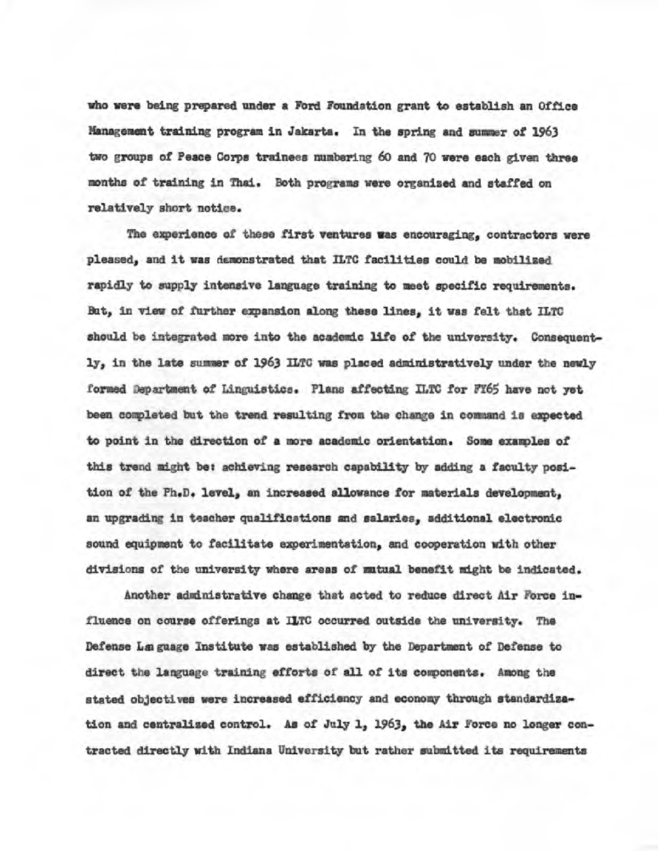**rho were being prepared under a Ford Foundation grant to establish an Office Management training program in Jakarta. In the spring and summer of 1963 two groups of Peace Corps trainees numbering 60 and 70 were each given three**  months of training in Thai. Both programs were organized and staffed on **relatively short notice.** 

**The experience of these first ventures was encouraging, contractors were pleased, and it was demonstrated that ILTC facilities could be mobilised rapidly to supply intensive language training to meet specific requirements. But, in view of further expansion along these lines, it was felt that ILTC**  should be integrated more into the academic life of the university. Consequent**ly, in the late summer of 1963 ILTC was placed administratively under the newly formed aepartment of Lincuistics. Plana affecting ILTC for FY65 have not yet been completed but the trend resulting from the change in command is expected to point in the direction of a more academic orientation. Some examples of**  this trend might be: achieving research capability by adding a faculty posi**tion of the Ph.D. level, an increased allowance for materials development, an upgrading in teacher qualifications and salaries, additional electronic sound equipment to facilitate experimentation, and cooperation with other divisions of the university where areas of mutual benefit might be indicated.** 

**Another administrative change that acted to reduce direct Air Force influence on course offerings at ILTC occurred outside the university. The Defense Lamgnage Institute was established by the Department of Defense to direct the language training efforts of all of its components. Among the stated objectives were increased efficiency and economy through standardization and centralized control. As of July 1, 1963, the Air Force no longer contracted directly with Indiana University but rather submitted its requirements**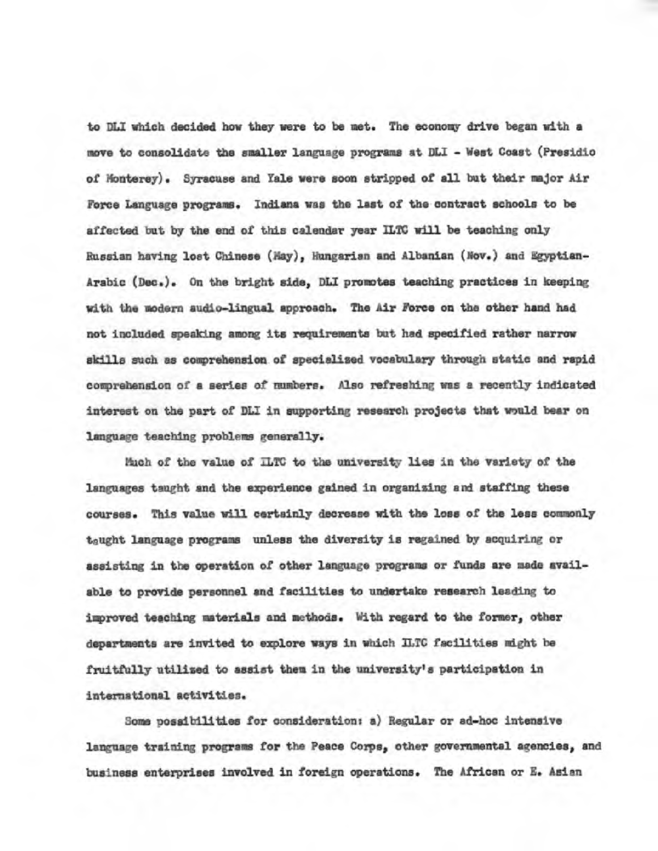**to DLI which decided how they were to be met. The economy drive began with a move to consolidate the smaller language programs at DLI - West Coast (Presidio of Monterey). Syracuse and Yale were soon stripped of all but their major Air Force Language programs. Indiana was the last of the contract schools to be affected out by the end of this calendar year ILTC will be teaching only Russian having lost Chinese (fay), Hungarian and Albanian (Nov.) and egyptian-Arabic (Dec.). On the bright side, DLI promotes teaching practices in keeping**  with the modern audio-lingual approach. The Air Force on the other hand had **not included speak-ing among its requirements** but had **specified rather narrow skills such as comprehension of specialized vocabulary through static and rapid comprehension of a series of numbere.** Also **refreshing was a recently indicated interest on the part of DLI in supporting research projects that would bear on language teaching problems generally.** 

**Much of the value of ILTC to the university lies in the variety of the languagea taught and the experience gained in organizing and staffing these courses. This value will certainly decrease with the lose of the less commonly**  t<sub>a</sub>ught language programs unless the diversity is regained by acquiring or **assisting in the operation of other language programs** or **funds are made available to provide personnel and facilities to undertake research leading to inproved teaching materials and methocia. With regard to the former, other departments are invited to explore ways in which ILTC** facilities might **he**  fruitfully utilised to assist them in the university's participation in intermational activities.

Some possibilities for consideration: a) Regular or ad-hoc intensive **language** training programs for **the Peace Corps, other governmental agencies, and business enterprises involved in foreign operations. The African or E. Asian**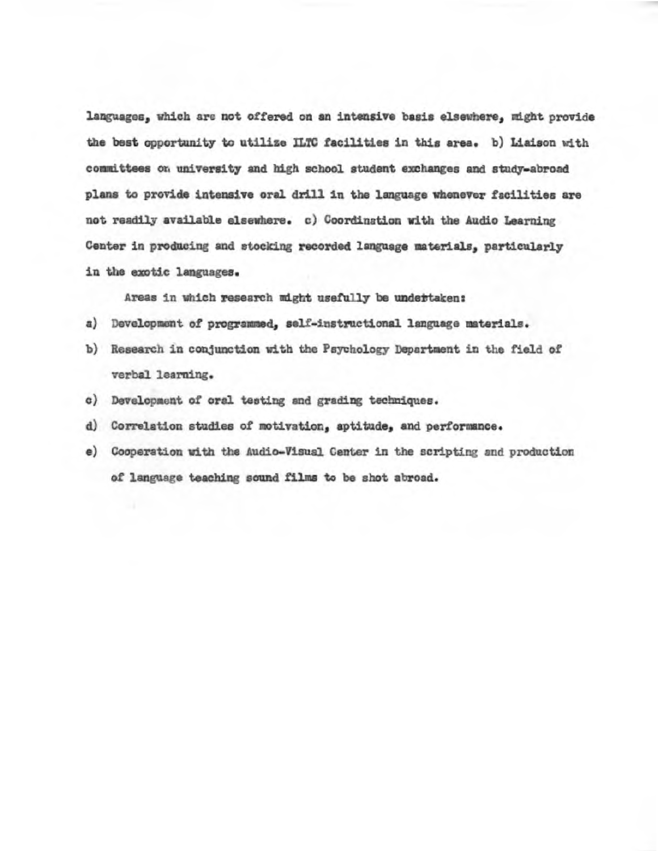**languages, which are not offered on an intensive basis elseehere, might provide languages, which are not offered on an intensive basis elsewhere, might provide the best opportunity to utilize ILTC facilitiee in this area. b) Liaison with the best opportunity to utilize ILTC facilities in thin area. b) Liaison with**  committees on university and high school student exchanges and study-abroad **plans to provide intensive oral drill in the language whenever facilities are plans to provide intensive oral drill in the language whenever facilities are not readily available elsewhere. c) Coordination with the Audio Learning not readily available elsewhere. c) Coordination with the Audio Learning Center in producing and stocking recorded language materials, particularly Center in producing and stocking recorded language materials, particularly in the exotic languages. in the exotic languages.** 

**Areas in which research might usefully be undertaken: Areas in which research might usefully be undertaken:** 

- **a) Development of programmed, self-instructional language materials. of programmed, self-instructional language materials.**
- **b) Research in conjunction with the Psychology Department in the field of Researcn in conjunction with the Psychology Department in the** field **of verbal learning.**
- **c) Development of oral testing and grading techniques. c) Development of oral testing and grading techniques.**
- *d) Correlation* **studies of motivation, aptitude, and performance. d) Correlation studies of motivation, aptitude, and performance.**
- **e) Cooperation with the Audio-Visual Center in the scripting and production e) Cooperation with the Audio-Visual Center in the scripting and production of language teaching sound films to be shot abroad. of language teaching sound films to be shot abroad.**